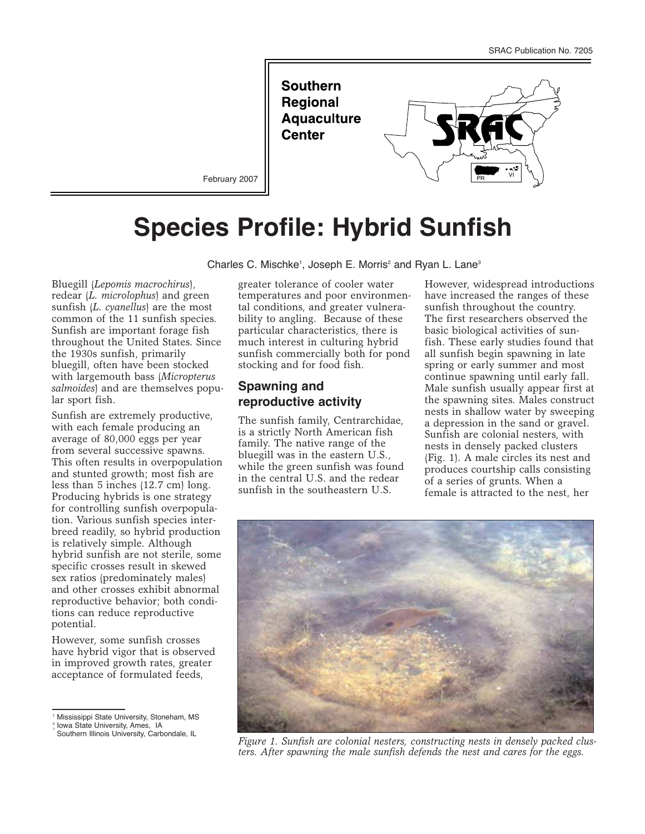**Southern Regional Aquaculture Center** 



February 2007

# **Species Profile: Hybrid Sunfish**

Charles C. Mischke<sup>1</sup>, Joseph E. Morris<sup>2</sup> and Ryan L. Lane<sup>3</sup>

Bluegill (*Lepomis macrochirus*), redear (*L. microlophus*) and green sunfish (*L. cyanellus*) are the most common of the 11 sunfish species. Sunfish are important forage fish throughout the United States. Since the 1930s sunfish, primarily bluegill, often have been stocked with largemouth bass (*Micropterus salmoides*) and are themselves popular sport fish.

Sunfish are extremely productive, with each female producing an average of 80,000 eggs per year from several successive spawns. This often results in overpopulation and stunted growth; most fish are less than 5 inches (12.7 cm) long. Producing hybrids is one strategy for controlling sunfish overpopulation. Various sunfish species interbreed readily, so hybrid production is relatively simple. Although hybrid sunfish are not sterile, some specific crosses result in skewed sex ratios (predominately males) and other crosses exhibit abnormal reproductive behavior; both conditions can reduce reproductive potential.

However, some sunfish crosses have hybrid vigor that is observed in improved growth rates, greater acceptance of formulated feeds,

<sup>1</sup> Mississippi State University, Stoneham, MS

greater tolerance of cooler water temperatures and poor environmental conditions, and greater vulnerability to angling. Because of these particular characteristics, there is much interest in culturing hybrid sunfish commercially both for pond stocking and for food fish.

# **Spawning and reproductive activity**

The sunfish family, Centrarchidae, is a strictly North American fish family. The native range of the bluegill was in the eastern U.S., while the green sunfish was found in the central U.S. and the redear sunfish in the southeastern U.S.

However, widespread introductions have increased the ranges of these sunfish throughout the country. The first researchers observed the basic biological activities of sunfish. These early studies found that all sunfish begin spawning in late spring or early summer and most continue spawning until early fall. Male sunfish usually appear first at the spawning sites. Males construct nests in shallow water by sweeping a depression in the sand or gravel. Sunfish are colonial nesters, with nests in densely packed clusters (Fig. 1). A male circles its nest and produces courtship calls consisting of a series of grunts. When a female is attracted to the nest, her



*Figure 1. Sunfish are colonial nesters, constructing nests in densely packed clusters. After spawning the male sunfish defends the nest and cares for the eggs.*

<sup>2</sup> <sup>3</sup> Iowa State University, Ames, IA

Southern Illinois University, Carbondale, IL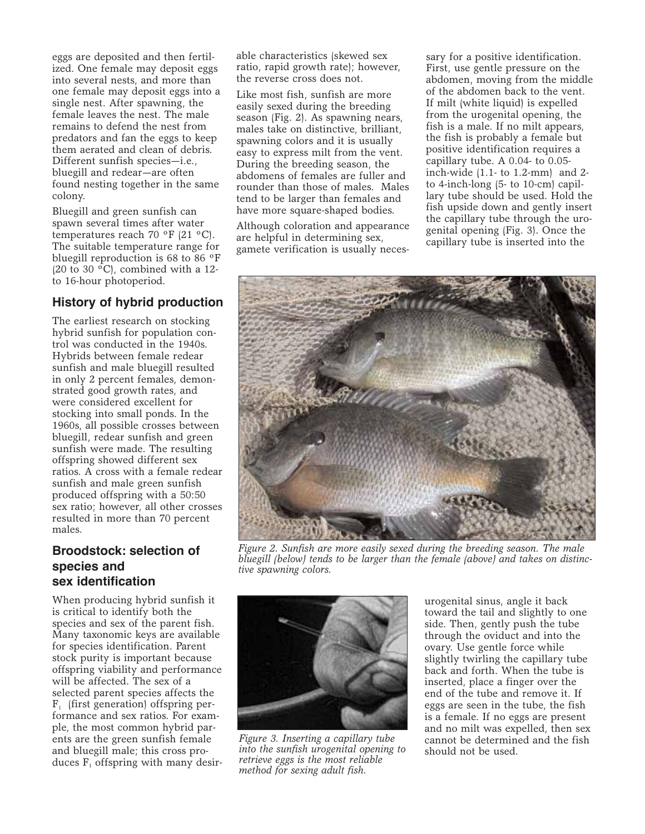eggs are deposited and then fertilized. One female may deposit eggs into several nests, and more than one female may deposit eggs into a single nest. After spawning, the female leaves the nest. The male remains to defend the nest from predators and fan the eggs to keep them aerated and clean of debris. Different sunfish species—i.e., bluegill and redear—are often found nesting together in the same colony.

Bluegill and green sunfish can spawn several times after water temperatures reach 70 ºF (21 ºC). The suitable temperature range for bluegill reproduction is 68 to 86 ºF (20 to 30  $^{\circ}$ C), combined with a 12to 16-hour photoperiod.

# **History of hybrid production**

The earliest research on stocking hybrid sunfish for population control was conducted in the 1940s. Hybrids between female redear sunfish and male bluegill resulted in only 2 percent females, demonstrated good growth rates, and were considered excellent for stocking into small ponds. In the 1960s, all possible crosses between bluegill, redear sunfish and green sunfish were made. The resulting offspring showed different sex ratios. A cross with a female redear sunfish and male green sunfish produced offspring with a 50:50 sex ratio; however, all other crosses resulted in more than 70 percent males.

# **Broodstock: selection of species and sex identification**

When producing hybrid sunfish it is critical to identify both the species and sex of the parent fish. Many taxonomic keys are available for species identification. Parent stock purity is important because offspring viability and performance will be affected. The sex of a selected parent species affects the  $F_1$  (first generation) offspring performance and sex ratios. For example, the most common hybrid parents are the green sunfish female and bluegill male; this cross produces  $F_1$  offspring with many desirable characteristics (skewed sex ratio, rapid growth rate); however, the reverse cross does not.

Like most fish, sunfish are more easily sexed during the breeding season (Fig. 2). As spawning nears, males take on distinctive, brilliant, spawning colors and it is usually easy to express milt from the vent. During the breeding season, the abdomens of females are fuller and rounder than those of males. Males tend to be larger than females and have more square-shaped bodies.

Although coloration and appearance are helpful in determining sex, gamete verification is usually necessary for a positive identification. First, use gentle pressure on the abdomen, moving from the middle of the abdomen back to the vent. If milt (white liquid) is expelled from the urogenital opening, the fish is a male. If no milt appears, the fish is probably a female but positive identification requires a capillary tube. A 0.04- to 0.05 inch-wide (1.1- to 1.2-mm) and 2 to 4-inch-long (5- to 10-cm) capillary tube should be used. Hold the fish upside down and gently insert the capillary tube through the urogenital opening (Fig. 3). Once the capillary tube is inserted into the



*Figure 2. Sunfish are more easily sexed during the breeding season. The male bluegill (below) tends to be larger than the female (above) and takes on distinctive spawning colors.*



*Figure 3. Inserting a capillary tube into the sunfish urogenital opening to retrieve eggs is the most reliable method for sexing adult fish.*

urogenital sinus, angle it back toward the tail and slightly to one side. Then, gently push the tube through the oviduct and into the ovary. Use gentle force while slightly twirling the capillary tube back and forth. When the tube is inserted, place a finger over the end of the tube and remove it. If eggs are seen in the tube, the fish is a female. If no eggs are present and no milt was expelled, then sex cannot be determined and the fish should not be used.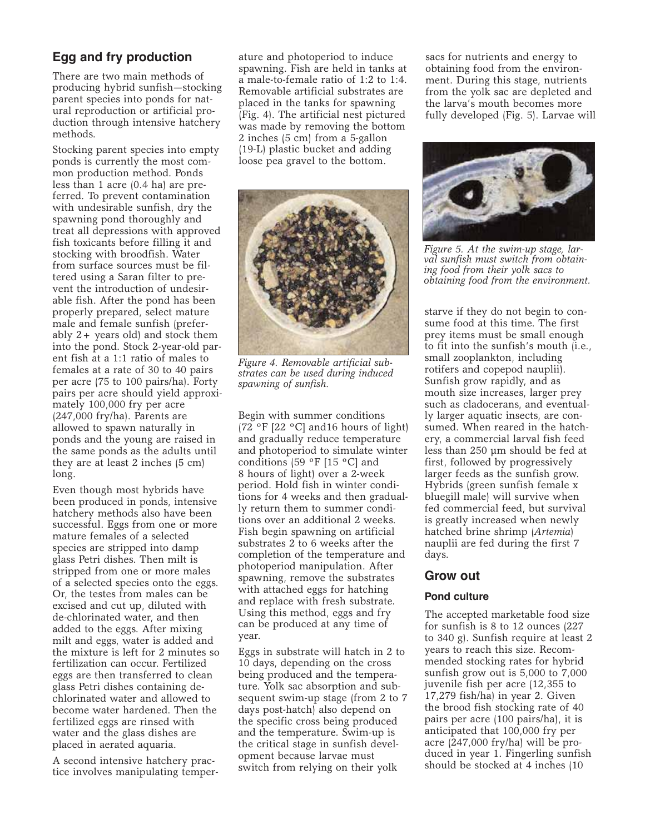# **Egg and fry production**

There are two main methods of producing hybrid sunfish—stocking parent species into ponds for natural reproduction or artificial production through intensive hatchery methods.

Stocking parent species into empty ponds is currently the most common production method. Ponds less than 1 acre (0.4 ha) are preferred. To prevent contamination with undesirable sunfish, dry the spawning pond thoroughly and treat all depressions with approved fish toxicants before filling it and stocking with broodfish. Water from surface sources must be filtered using a Saran filter to prevent the introduction of undesirable fish. After the pond has been properly prepared, select mature male and female sunfish (preferably 2+ years old) and stock them into the pond. Stock 2-year-old parent fish at a 1:1 ratio of males to females at a rate of 30 to 40 pairs per acre (75 to 100 pairs/ha). Forty pairs per acre should yield approximately 100,000 fry per acre (247,000 fry/ha). Parents are allowed to spawn naturally in ponds and the young are raised in the same ponds as the adults until they are at least 2 inches (5 cm) long.

Even though most hybrids have been produced in ponds, intensive hatchery methods also have been successful. Eggs from one or more mature females of a selected species are stripped into damp glass Petri dishes. Then milt is stripped from one or more males of a selected species onto the eggs. Or, the testes from males can be excised and cut up, diluted with de-chlorinated water, and then added to the eggs. After mixing milt and eggs, water is added and the mixture is left for 2 minutes so fertilization can occur. Fertilized eggs are then transferred to clean glass Petri dishes containing dechlorinated water and allowed to become water hardened. Then the fertilized eggs are rinsed with water and the glass dishes are placed in aerated aquaria.

A second intensive hatchery practice involves manipulating temperature and photoperiod to induce spawning. Fish are held in tanks at a male-to-female ratio of 1:2 to 1:4. Removable artificial substrates are placed in the tanks for spawning (Fig. 4). The artificial nest pictured was made by removing the bottom 2 inches (5 cm) from a 5-gallon (19-L) plastic bucket and adding loose pea gravel to the bottom.



*Figure 4. Removable artificial substrates can be used during induced spawning of sunfish.*

Begin with summer conditions (72  $\,^{\circ}$ F [22  $\,^{\circ}$ C] and 16 hours of light) and gradually reduce temperature and photoperiod to simulate winter conditions (59 ºF [15 ºC] and 8 hours of light) over a 2-week period. Hold fish in winter conditions for 4 weeks and then gradually return them to summer conditions over an additional 2 weeks. Fish begin spawning on artificial substrates 2 to 6 weeks after the completion of the temperature and photoperiod manipulation. After spawning, remove the substrates with attached eggs for hatching and replace with fresh substrate. Using this method, eggs and fry can be produced at any time of year.

Eggs in substrate will hatch in 2 to 10 days, depending on the cross being produced and the temperature. Yolk sac absorption and subsequent swim-up stage (from 2 to 7 days post-hatch) also depend on the specific cross being produced and the temperature. Swim-up is the critical stage in sunfish development because larvae must switch from relying on their yolk

sacs for nutrients and energy to obtaining food from the environment. During this stage, nutrients from the yolk sac are depleted and the larva's mouth becomes more fully developed (Fig. 5). Larvae will



*Figure 5. At the swim-up stage, larval sunfish must switch from obtaining food from their yolk sacs to obtaining food from the environment.*

starve if they do not begin to consume food at this time. The first prey items must be small enough to fit into the sunfish's mouth (i.e., small zooplankton, including rotifers and copepod nauplii). Sunfish grow rapidly, and as mouth size increases, larger prey such as cladocerans, and eventually larger aquatic insects, are consumed. When reared in the hatchery, a commercial larval fish feed less than 250 µm should be fed at first, followed by progressively larger feeds as the sunfish grow. Hybrids (green sunfish female x bluegill male) will survive when fed commercial feed, but survival is greatly increased when newly hatched brine shrimp (*Artemia*) nauplii are fed during the first 7 days.

## **Grow out**

#### **Pond culture**

The accepted marketable food size for sunfish is 8 to 12 ounces (227 to 340 g). Sunfish require at least 2 years to reach this size. Recommended stocking rates for hybrid sunfish grow out is 5,000 to 7,000 juvenile fish per acre (12,355 to 17,279 fish/ha) in year 2. Given the brood fish stocking rate of 40 pairs per acre (100 pairs/ha), it is anticipated that 100,000 fry per acre (247,000 fry/ha) will be produced in year 1. Fingerling sunfish should be stocked at 4 inches (10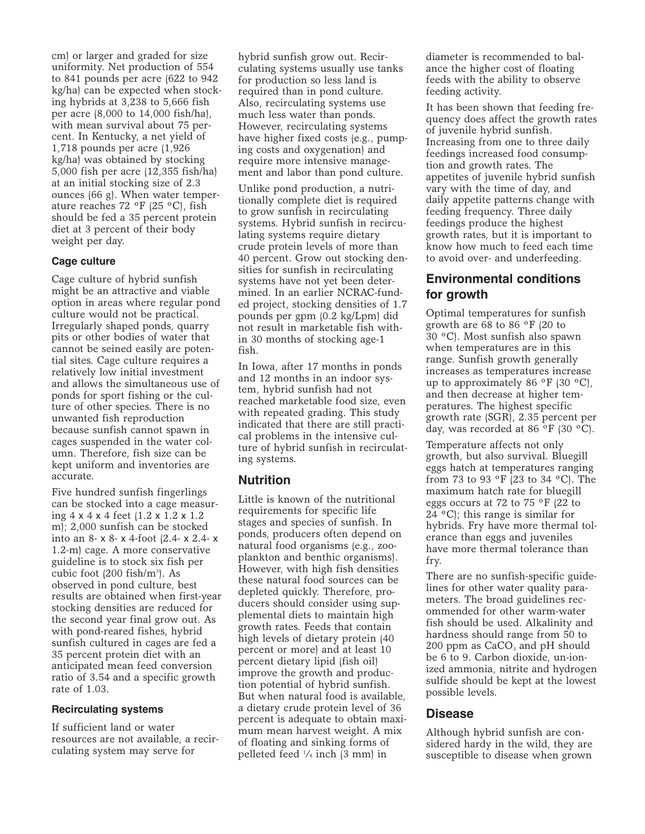cm) or larger and graded for size uniformity. Net production of 554 to 841 pounds per acre (622 to 942 kg/ha) can be expected when stocking hybrids at 3,238 to 5,666 fish per acre (8,000 to 14,000 fish/ha), with mean survival about 75 percent. In Kentucky, a net yield of 1,718 pounds per acre (1,926 kg/ha) was obtained by stocking 5,000 fish per acre (12,355 fish/ha) at an initial stocking size of 2.3 ounces (66 g). When water temperature reaches 72 ºF (25 ºC), fish should be fed a 35 percent protein diet at 3 percent of their body weight per day.

#### **Cage culture**

Cage culture of hybrid sunfish might be an attractive and viable option in areas where regular pond culture would not be practical. Irregularly shaped ponds, quarry pits or other bodies of water that cannot be seined easily are potential sites. Cage culture requires a relatively low initial investment and allows the simultaneous use of ponds for sport fishing or the culture of other species. There is no unwanted fish reproduction because sunfish cannot spawn in cages suspended in the water column. Therefore, fish size can be kept uniform and inventories are accurate.

Five hundred sunfish fingerlings can be stocked into a cage measuring 4 x 4 x 4 feet (1.2 x 1.2 x 1.2 m); 2,000 sunfish can be stocked into an 8- x 8- x 4-foot (2.4- x 2.4- x 1.2-m) cage. A more conservative guideline is to stock six fish per cubic foot (200 fish/m3 ). As observed in pond culture, best results are obtained when first-year stocking densities are reduced for the second year final grow out. As with pond-reared fishes, hybrid sunfish cultured in cages are fed a 35 percent protein diet with an anticipated mean feed conversion ratio of 3.54 and a specific growth rate of 1.03.

#### **Recirculating systems**

If sufficient land or water resources are not available, a recirculating system may serve for

hybrid sunfish grow out. Recirculating systems usually use tanks for production so less land is required than in pond culture. Also, recirculating systems use much less water than ponds. However, recirculating systems have higher fixed costs (e.g., pumping costs and oxygenation) and require more intensive management and labor than pond culture.

Unlike pond production, a nutritionally complete diet is required to grow sunfish in recirculating systems. Hybrid sunfish in recirculating systems require dietary crude protein levels of more than 40 percent. Grow out stocking densities for sunfish in recirculating systems have not yet been determined. In an earlier NCRAC-funded project, stocking densities of 1.7 pounds per gpm (0.2 kg/Lpm) did not result in marketable fish within 30 months of stocking age-1 fish.

In Iowa, after 17 months in ponds and 12 months in an indoor system, hybrid sunfish had not reached marketable food size, even with repeated grading. This study indicated that there are still practical problems in the intensive culture of hybrid sunfish in recirculating systems.

#### **Nutrition**

Little is known of the nutritional requirements for specific life stages and species of sunfish. In ponds, producers often depend on natural food organisms (e.g., zooplankton and benthic organisms). However, with high fish densities these natural food sources can be depleted quickly. Therefore, producers should consider using supplemental diets to maintain high growth rates. Feeds that contain high levels of dietary protein (40 percent or more) and at least 10 percent dietary lipid (fish oil) improve the growth and production potential of hybrid sunfish. But when natural food is available, a dietary crude protein level of 36 percent is adequate to obtain maximum mean harvest weight. A mix of floating and sinking forms of pelleted feed 1 ⁄8 inch (3 mm) in

diameter is recommended to balance the higher cost of floating feeds with the ability to observe feeding activity.

It has been shown that feeding frequency does affect the growth rates of juvenile hybrid sunfish. Increasing from one to three daily feedings increased food consumption and growth rates. The appetites of juvenile hybrid sunfish vary with the time of day, and daily appetite patterns change with feeding frequency. Three daily feedings produce the highest growth rates, but it is important to know how much to feed each time to avoid over- and underfeeding.

# **Environmental conditions for growth**

Optimal temperatures for sunfish growth are 68 to 86 ºF (20 to 30 ºC). Most sunfish also spawn when temperatures are in this range. Sunfish growth generally increases as temperatures increase up to approximately 86  $\,^{\circ}$ F (30  $\,^{\circ}$ C), and then decrease at higher temperatures. The highest specific growth rate (SGR), 2.35 percent per day, was recorded at 86  $\rm{^{\circ}F}$  (30  $\rm{^{\circ}C}$ ).

Temperature affects not only growth, but also survival. Bluegill eggs hatch at temperatures ranging from 73 to 93 ºF (23 to 34 ºC). The maximum hatch rate for bluegill eggs occurs at 72 to 75 ºF (22 to 24  $^{\circ}$ C); this range is similar for hybrids. Fry have more thermal tolerance than eggs and juveniles have more thermal tolerance than fry.

There are no sunfish-specific guidelines for other water quality parameters. The broad guidelines recommended for other warm-water fish should be used. Alkalinity and hardness should range from 50 to 200 ppm as  $CaCO<sub>3</sub>$  and pH should be 6 to 9. Carbon dioxide, un-ionized ammonia, nitrite and hydrogen sulfide should be kept at the lowest possible levels.

#### **Disease**

Although hybrid sunfish are considered hardy in the wild, they are susceptible to disease when grown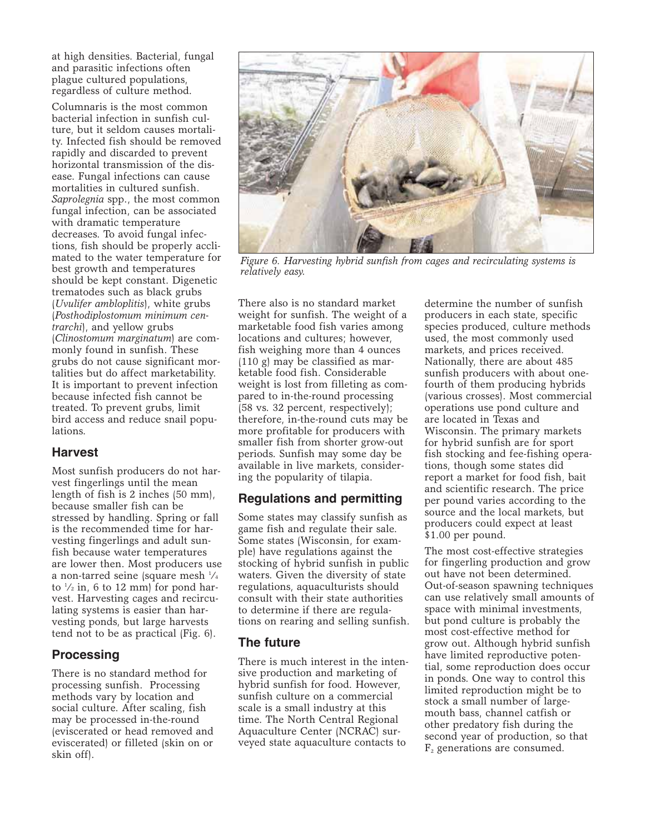at high densities. Bacterial, fungal and parasitic infections often plague cultured populations, regardless of culture method.

Columnaris is the most common bacterial infection in sunfish culture, but it seldom causes mortality. Infected fish should be removed rapidly and discarded to prevent horizontal transmission of the disease. Fungal infections can cause mortalities in cultured sunfish. *Saprolegnia* spp., the most common fungal infection, can be associated with dramatic temperature decreases. To avoid fungal infections, fish should be properly acclimated to the water temperature for best growth and temperatures should be kept constant. Digenetic trematodes such as black grubs (*Uvulifer ambloplitis*), white grubs (*Posthodiplostomum minimum centrarchi*), and yellow grubs (*Clinostomum marginatum*) are commonly found in sunfish. These grubs do not cause significant mortalities but do affect marketability. It is important to prevent infection because infected fish cannot be treated. To prevent grubs, limit bird access and reduce snail populations.

## **Harvest**

Most sunfish producers do not harvest fingerlings until the mean length of fish is 2 inches (50 mm), because smaller fish can be stressed by handling. Spring or fall is the recommended time for harvesting fingerlings and adult sunfish because water temperatures are lower then. Most producers use a non-tarred seine (square mesh 1 ⁄4 to  $\frac{1}{2}$  in, 6 to 12 mm) for pond harvest. Harvesting cages and recirculating systems is easier than harvesting ponds, but large harvests tend not to be as practical (Fig. 6).

## **Processing**

There is no standard method for processing sunfish. Processing methods vary by location and social culture. After scaling, fish may be processed in-the-round (eviscerated or head removed and eviscerated) or filleted (skin on or skin off).



*Figure 6. Harvesting hybrid sunfish from cages and recirculating systems is relatively easy.*

There also is no standard market weight for sunfish. The weight of a marketable food fish varies among locations and cultures; however, fish weighing more than 4 ounces (110 g) may be classified as marketable food fish. Considerable weight is lost from filleting as compared to in-the-round processing (58 vs. 32 percent, respectively); therefore, in-the-round cuts may be more profitable for producers with smaller fish from shorter grow-out periods. Sunfish may some day be available in live markets, considering the popularity of tilapia.

# **Regulations and permitting**

Some states may classify sunfish as game fish and regulate their sale. Some states (Wisconsin, for example) have regulations against the stocking of hybrid sunfish in public waters. Given the diversity of state regulations, aquaculturists should consult with their state authorities to determine if there are regulations on rearing and selling sunfish.

## **The future**

There is much interest in the intensive production and marketing of hybrid sunfish for food. However, sunfish culture on a commercial scale is a small industry at this time. The North Central Regional Aquaculture Center (NCRAC) surveyed state aquaculture contacts to

determine the number of sunfish producers in each state, specific species produced, culture methods used, the most commonly used markets, and prices received. Nationally, there are about 485 sunfish producers with about onefourth of them producing hybrids (various crosses). Most commercial operations use pond culture and are located in Texas and Wisconsin. The primary markets for hybrid sunfish are for sport fish stocking and fee-fishing operations, though some states did report a market for food fish, bait and scientific research. The price per pound varies according to the source and the local markets, but producers could expect at least \$1.00 per pound.

The most cost-effective strategies for fingerling production and grow out have not been determined. Out-of-season spawning techniques can use relatively small amounts of space with minimal investments, but pond culture is probably the most cost-effective method for grow out. Although hybrid sunfish have limited reproductive potential, some reproduction does occur in ponds. One way to control this limited reproduction might be to stock a small number of largemouth bass, channel catfish or other predatory fish during the second year of production, so that  $F<sub>2</sub>$  generations are consumed.